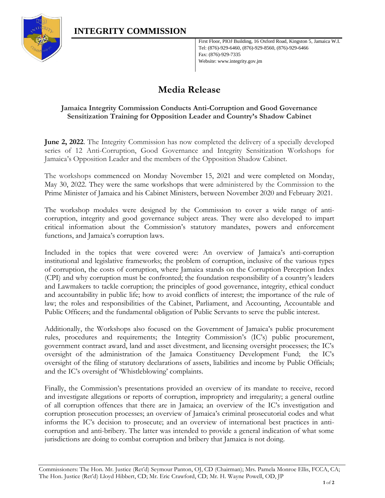

First Floor, PIOJ Building, 16 Oxford Road, Kingston 5, Jamaica W.I. Tel: (876)-929-6460, (876)-929-8560, (876)-929-6466 Fax: (876)-929-7335 Website: www.integrity.gov.jm

## **Media Release**

## **Jamaica Integrity Commission Conducts Anti-Corruption and Good Governance Sensitization Training for Opposition Leader and Country's Shadow Cabinet**

**June 2, 2022**. The Integrity Commission has now completed the delivery of a specially developed series of 12 Anti-Corruption, Good Governance and Integrity Sensitization Workshops for Jamaica's Opposition Leader and the members of the Opposition Shadow Cabinet.

The workshops commenced on Monday November 15, 2021 and were completed on Monday, May 30, 2022. They were the same workshops that were administered by the Commission to the Prime Minister of Jamaica and his Cabinet Ministers, between November 2020 and February 2021.

The workshop modules were designed by the Commission to cover a wide range of anticorruption, integrity and good governance subject areas. They were also developed to impart critical information about the Commission's statutory mandates, powers and enforcement functions, and Jamaica's corruption laws.

Included in the topics that were covered were: An overview of Jamaica's anti-corruption institutional and legislative frameworks; the problem of corruption, inclusive of the various types of corruption, the costs of corruption, where Jamaica stands on the Corruption Perception Index (CPI) and why corruption must be confronted; the foundation responsibility of a country's leaders and Lawmakers to tackle corruption; the principles of good governance, integrity, ethical conduct and accountability in public life; how to avoid conflicts of interest; the importance of the rule of law; the roles and responsibilities of the Cabinet, Parliament, and Accounting, Accountable and Public Officers; and the fundamental obligation of Public Servants to serve the public interest.

Additionally, the Workshops also focused on the Government of Jamaica's public procurement rules, procedures and requirements; the Integrity Commission's (IC's) public procurement, government contract award, land and asset divestment, and licensing oversight processes; the IC's oversight of the administration of the Jamaica Constituency Development Fund; the IC's oversight of the filing of statutory declarations of assets, liabilities and income by Public Officials; and the IC's oversight of 'Whistleblowing' complaints.

Finally, the Commission's presentations provided an overview of its mandate to receive, record and investigate allegations or reports of corruption, impropriety and irregularity; a general outline of all corruption offences that there are in Jamaica; an overview of the IC's investigation and corruption prosecution processes; an overview of Jamaica's criminal prosecutorial codes and what informs the IC's decision to prosecute; and an overview of international best practices in anticorruption and anti-bribery. The latter was intended to provide a general indication of what some jurisdictions are doing to combat corruption and bribery that Jamaica is not doing.

Commissioners: The Hon. Mr. Justice (Ret'd) Seymour Panton, OJ, CD (Chairman); Mrs. Pamela Monroe Ellis, FCCA, CA; The Hon. Justice (Ret'd) Lloyd Hibbert, CD; Mr. Eric Crawford, CD; Mr. H. Wayne Powell, OD, JP